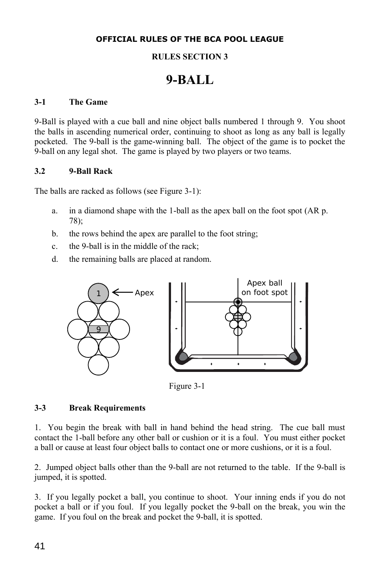# **OFFICIAL RULES OF THE BCA POOL LEAGUE**

# **RULES SECTION 3**

# **9-BALL**

## **3-1 The Game**

9-Ball is played with a cue ball and nine object balls numbered 1 through 9. You shoot the balls in ascending numerical order, continuing to shoot as long as any ball is legally pocketed. The 9-ball is the game-winning ball. The object of the game is to pocket the 9-ball on any legal shot. The game is played by two players or two teams.

#### **3.2 9-Ball Rack**

The balls are racked as follows (see Figure 3-1):

- a. in a diamond shape with the 1-ball as the apex ball on the foot spot (AR p. 78);
- b. the rows behind the apex are parallel to the foot string;
- c. the 9-ball is in the middle of the rack;
- d. the remaining balls are placed at random.



Figure 3-1

#### **3-3 Break Requirements**

1. You begin the break with ball in hand behind the head string. The cue ball must contact the 1-ball before any other ball or cushion or it is a foul. You must either pocket a ball or cause at least four object balls to contact one or more cushions, or it is a foul.

2. Jumped object balls other than the 9-ball are not returned to the table. If the 9-ball is jumped, it is spotted.

3. If you legally pocket a ball, you continue to shoot. Your inning ends if you do not pocket a ball or if you foul. If you legally pocket the 9-ball on the break, you win the game. If you foul on the break and pocket the 9-ball, it is spotted.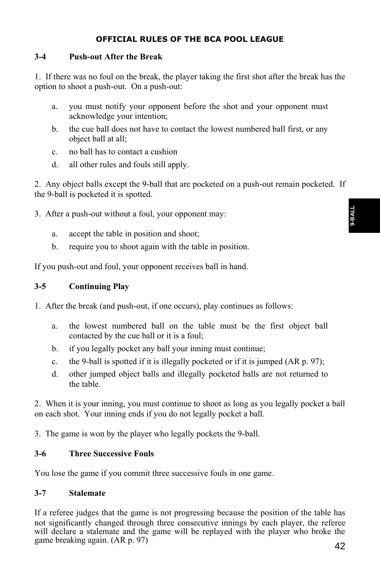# **OFFICIAL RULES OF THE BCA POOL LEAGUE**

## **3-4 Push-out After the Break**

1. If there was no foul on the break, the player taking the first shot after the break has the option to shoot a push-out. On a push-out:

- a. you must notify your opponent before the shot and your opponent must acknowledge your intention;
- b. the cue ball does not have to contact the lowest numbered ball first, or any object ball at all;
- c. no ball has to contact a cushion
- d. all other rules and fouls still apply.

2. Any object balls except the 9-ball that are pocketed on a push-out remain pocketed. If the 9-ball is pocketed it is spotted.

3. After a push-out without a foul, your opponent may:

- a. accept the table in position and shoot;
- b. require you to shoot again with the table in position.

If you push-out and foul, your opponent receives ball in hand.

# **3-5 Continuing Play**

- 1. After the break (and push-out, if one occurs), play continues as follows:
	- a. the lowest numbered ball on the table must be the first object ball contacted by the cue ball or it is a foul;
	- b. if you legally pocket any ball your inning must continue;
	- c. the 9-ball is spotted if it is illegally pocketed or if it is jumped (AR p. 97);
	- d. other jumped object balls and illegally pocketed balls are not returned to the table.

2. When it is your inning, you must continue to shoot as long as you legally pocket a ball on each shot. Your inning ends if you do not legally pocket a ball.

3. The game is won by the player who legally pockets the 9-ball.

# **3-6 Three Successive Fouls**

You lose the game if you commit three successive fouls in one game.

# **3-7 Stalemate**

If a referee judges that the game is not progressing because the position of the table has not significantly changed through three consecutive innings by each player, the referee will declare a stalemate and the game will be replayed with the player who broke the game breaking again. (AR p. 97)